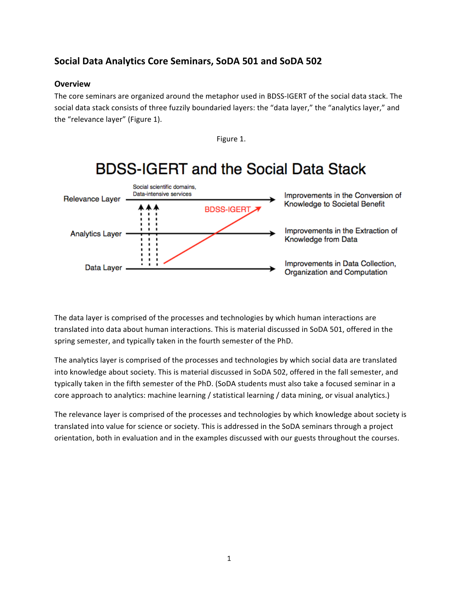# Social Data Analytics Core Seminars, SoDA 501 and SoDA 502

## **Overview**

The core seminars are organized around the metaphor used in BDSS-IGERT of the social data stack. The social data stack consists of three fuzzily boundaried layers: the "data layer," the "analytics layer," and the "relevance layer" (Figure 1).



The data layer is comprised of the processes and technologies by which human interactions are translated into data about human interactions. This is material discussed in SoDA 501, offered in the spring semester, and typically taken in the fourth semester of the PhD.

The analytics layer is comprised of the processes and technologies by which social data are translated into knowledge about society. This is material discussed in SoDA 502, offered in the fall semester, and typically taken in the fifth semester of the PhD. (SoDA students must also take a focused seminar in a core approach to analytics: machine learning / statistical learning / data mining, or visual analytics.)

The relevance layer is comprised of the processes and technologies by which knowledge about society is translated into value for science or society. This is addressed in the SoDA seminars through a project orientation, both in evaluation and in the examples discussed with our guests throughout the courses.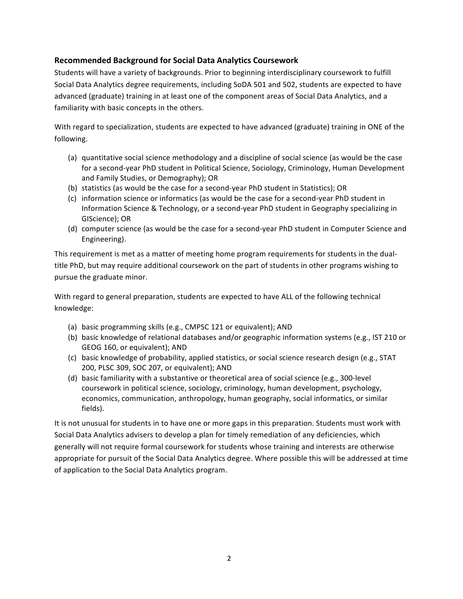## **Recommended Background for Social Data Analytics Coursework**

Students will have a variety of backgrounds. Prior to beginning interdisciplinary coursework to fulfill Social Data Analytics degree requirements, including SoDA 501 and 502, students are expected to have advanced (graduate) training in at least one of the component areas of Social Data Analytics, and a familiarity with basic concepts in the others.

With regard to specialization, students are expected to have advanced (graduate) training in ONE of the following.

- (a) quantitative social science methodology and a discipline of social science (as would be the case for a second-year PhD student in Political Science, Sociology, Criminology, Human Development and Family Studies, or Demography); OR
- (b) statistics (as would be the case for a second-year PhD student in Statistics); OR
- (c) information science or informatics (as would be the case for a second-year PhD student in Information Science & Technology, or a second-year PhD student in Geography specializing in GIScience); OR
- (d) computer science (as would be the case for a second-year PhD student in Computer Science and Engineering).

This requirement is met as a matter of meeting home program requirements for students in the dualtitle PhD, but may require additional coursework on the part of students in other programs wishing to pursue the graduate minor.

With regard to general preparation, students are expected to have ALL of the following technical knowledge:

- (a) basic programming skills (e.g., CMPSC 121 or equivalent); AND
- (b) basic knowledge of relational databases and/or geographic information systems (e.g., IST 210 or GEOG 160, or equivalent); AND
- (c) basic knowledge of probability, applied statistics, or social science research design (e.g., STAT 200, PLSC 309, SOC 207, or equivalent); AND
- (d) basic familiarity with a substantive or theoretical area of social science (e.g., 300-level coursework in political science, sociology, criminology, human development, psychology, economics, communication, anthropology, human geography, social informatics, or similar fields).

It is not unusual for students in to have one or more gaps in this preparation. Students must work with Social Data Analytics advisers to develop a plan for timely remediation of any deficiencies, which generally will not require formal coursework for students whose training and interests are otherwise appropriate for pursuit of the Social Data Analytics degree. Where possible this will be addressed at time of application to the Social Data Analytics program.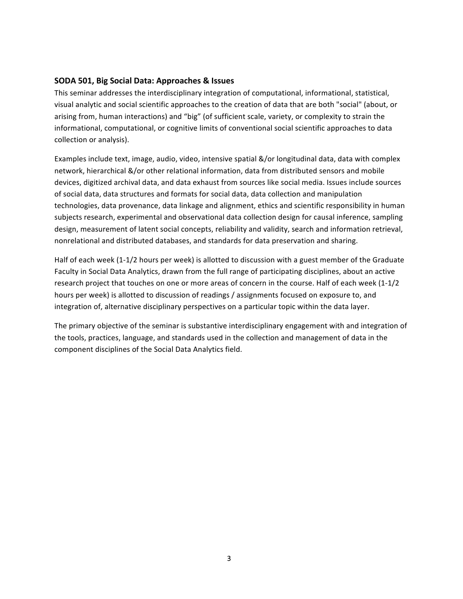#### **SODA 501, Big Social Data: Approaches & Issues**

This seminar addresses the interdisciplinary integration of computational, informational, statistical, visual analytic and social scientific approaches to the creation of data that are both "social" (about, or arising from, human interactions) and "big" (of sufficient scale, variety, or complexity to strain the informational, computational, or cognitive limits of conventional social scientific approaches to data collection or analysis).

Examples include text, image, audio, video, intensive spatial &/or longitudinal data, data with complex network, hierarchical &/or other relational information, data from distributed sensors and mobile devices, digitized archival data, and data exhaust from sources like social media. Issues include sources of social data, data structures and formats for social data, data collection and manipulation technologies, data provenance, data linkage and alignment, ethics and scientific responsibility in human subjects research, experimental and observational data collection design for causal inference, sampling design, measurement of latent social concepts, reliability and validity, search and information retrieval, nonrelational and distributed databases, and standards for data preservation and sharing.

Half of each week (1-1/2 hours per week) is allotted to discussion with a guest member of the Graduate Faculty in Social Data Analytics, drawn from the full range of participating disciplines, about an active research project that touches on one or more areas of concern in the course. Half of each week (1-1/2 hours per week) is allotted to discussion of readings / assignments focused on exposure to, and integration of, alternative disciplinary perspectives on a particular topic within the data layer.

The primary objective of the seminar is substantive interdisciplinary engagement with and integration of the tools, practices, language, and standards used in the collection and management of data in the component disciplines of the Social Data Analytics field.